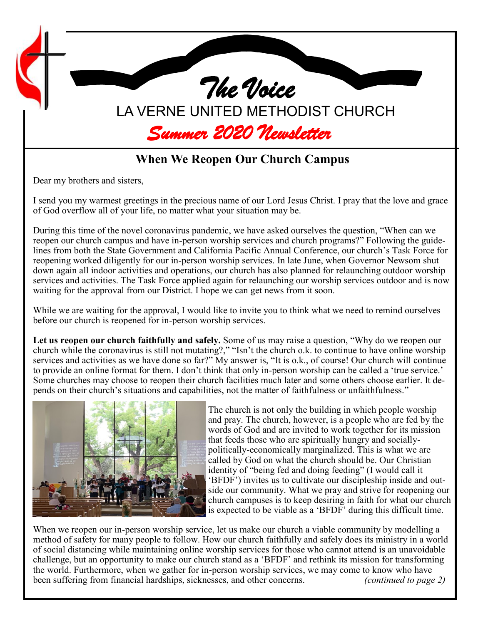

## **When We Reopen Our Church Campus**

Dear my brothers and sisters,

I send you my warmest greetings in the precious name of our Lord Jesus Christ. I pray that the love and grace of God overflow all of your life, no matter what your situation may be.

During this time of the novel coronavirus pandemic, we have asked ourselves the question, "When can we reopen our church campus and have in-person worship services and church programs?" Following the guidelines from both the State Government and California Pacific Annual Conference, our church's Task Force for reopening worked diligently for our in-person worship services. In late June, when Governor Newsom shut down again all indoor activities and operations, our church has also planned for relaunching outdoor worship services and activities. The Task Force applied again for relaunching our worship services outdoor and is now waiting for the approval from our District. I hope we can get news from it soon.

While we are waiting for the approval, I would like to invite you to think what we need to remind ourselves before our church is reopened for in-person worship services.

**Let us reopen our church faithfully and safely.** Some of us may raise a question, "Why do we reopen our church while the coronavirus is still not mutating?," "Isn't the church o.k. to continue to have online worship services and activities as we have done so far?" My answer is, "It is o.k., of course! Our church will continue to provide an online format for them. I don't think that only in-person worship can be called a 'true service.' Some churches may choose to reopen their church facilities much later and some others choose earlier. It depends on their church's situations and capabilities, not the matter of faithfulness or unfaithfulness."



The church is not only the building in which people worship and pray. The church, however, is a people who are fed by the words of God and are invited to work together for its mission that feeds those who are spiritually hungry and sociallypolitically-economically marginalized. This is what we are called by God on what the church should be. Our Christian identity of "being fed and doing feeding" (I would call it 'BFDF') invites us to cultivate our discipleship inside and outside our community. What we pray and strive for reopening our church campuses is to keep desiring in faith for what our church is expected to be viable as a 'BFDF' during this difficult time.

When we reopen our in-person worship service, let us make our church a viable community by modelling a method of safety for many people to follow. How our church faithfully and safely does its ministry in a world of social distancing while maintaining online worship services for those who cannot attend is an unavoidable challenge, but an opportunity to make our church stand as a 'BFDF' and rethink its mission for transforming the world. Furthermore, when we gather for in-person worship services, we may come to know who have been suffering from financial hardships, sicknesses, and other concerns. *(continued to page 2)*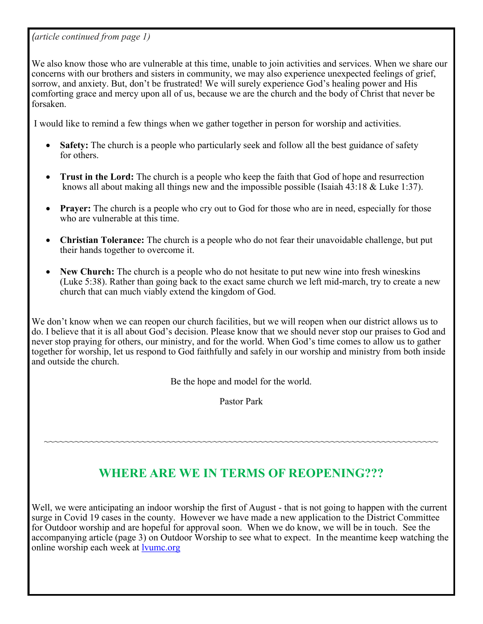*(article continued from page 1)*

We also know those who are vulnerable at this time, unable to join activities and services. When we share our concerns with our brothers and sisters in community, we may also experience unexpected feelings of grief, sorrow, and anxiety. But, don't be frustrated! We will surely experience God's healing power and His comforting grace and mercy upon all of us, because we are the church and the body of Christ that never be forsaken.

I would like to remind a few things when we gather together in person for worship and activities.

- **Safety:** The church is a people who particularly seek and follow all the best guidance of safety for others.
- **Trust in the Lord:** The church is a people who keep the faith that God of hope and resurrection knows all about making all things new and the impossible possible (Isaiah 43:18 & Luke 1:37).
- **Prayer:** The church is a people who cry out to God for those who are in need, especially for those who are vulnerable at this time.
- **Christian Tolerance:** The church is a people who do not fear their unavoidable challenge, but put their hands together to overcome it.
- **New Church:** The church is a people who do not hesitate to put new wine into fresh wineskins (Luke 5:38). Rather than going back to the exact same church we left mid-march, try to create a new church that can much viably extend the kingdom of God.

We don't know when we can reopen our church facilities, but we will reopen when our district allows us to do. I believe that it is all about God's decision. Please know that we should never stop our praises to God and never stop praying for others, our ministry, and for the world. When God's time comes to allow us to gather together for worship, let us respond to God faithfully and safely in our worship and ministry from both inside and outside the church.

Be the hope and model for the world.

Pastor Park

## **WHERE ARE WE IN TERMS OF REOPENING???**

~~~~~~~~~~~~~~~~~~~~~~~~~~~~~~~~~~~~~~~~~~~~~~~~~~~~~~~~~~~~~~~~~~~~~~~~~~~~~

Well, we were anticipating an indoor worship the first of August - that is not going to happen with the current surge in Covid 19 cases in the county. However we have made a new application to the District Committee for Outdoor worship and are hopeful for approval soon. When we do know, we will be in touch. See the accompanying article (page 3) on Outdoor Worship to see what to expect. In the meantime keep watching the online worship each week at [lvumc.org](https://nam11.safelinks.protection.outlook.com/?url=http%3A%2F%2Flvumc.org%2F&data=02%7C01%7C%7C1d0119041b3e4abb15ab08d82f1aba6f%7C84df9e7fe9f640afb435aaaaaaaaaaaa%7C1%7C0%7C637311139120161944&sdata=y32Pp7NyHf%2B%2Fcsv4C3FqEhCw36ryw%2FO1ifjYCJ5gVOE%3D&reserve)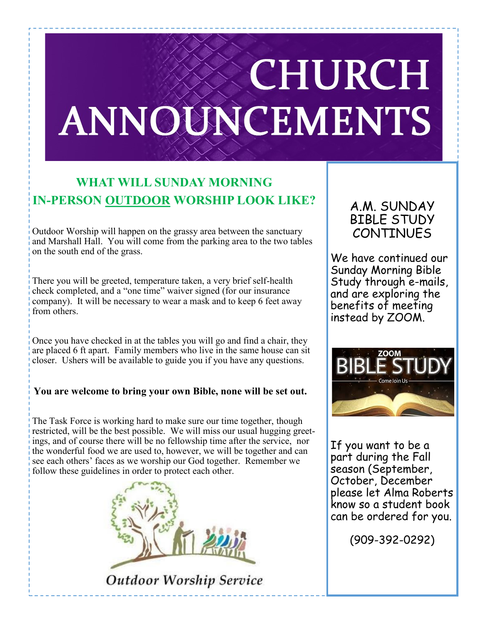# **CHURCH** ANNOUNCEMENTS

## **WHAT WILL SUNDAY MORNING IN-PERSON OUTDOOR WORSHIP LOOK LIKE?**

Outdoor Worship will happen on the grassy area between the sanctuary and Marshall Hall. You will come from the parking area to the two tables on the south end of the grass.

There you will be greeted, temperature taken, a very brief self-health check completed, and a "one time" waiver signed (for our insurance company). It will be necessary to wear a mask and to keep 6 feet away from others.

Once you have checked in at the tables you will go and find a chair, they are placed 6 ft apart. Family members who live in the same house can sit closer. Ushers will be available to guide you if you have any questions.

#### **You are welcome to bring your own Bible, none will be set out.**

The Task Force is working hard to make sure our time together, though restricted, will be the best possible. We will miss our usual hugging greetings, and of course there will be no fellowship time after the service, nor the wonderful food we are used to, however, we will be together and can see each others' faces as we worship our God together. Remember we follow these guidelines in order to protect each other.



**Outdoor Worship Service** 

### A.M. SUNDAY BIBLE STUDY **CONTINUES**

We have continued our Sunday Morning Bible Study through e-mails, and are exploring the benefits of meeting instead by ZOOM.



If you want to be a part during the Fall season (September, October, December please let Alma Roberts know so a student book can be ordered for you.

(909-392-0292)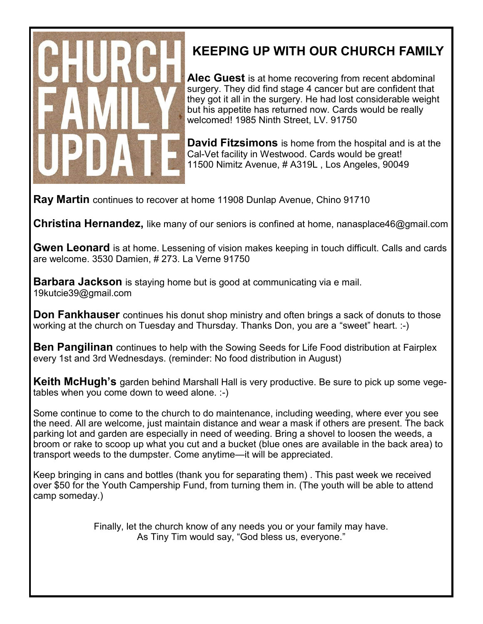

# **KEEPING UP WITH OUR CHURCH FAMILY**

**Alec Guest** is at home recovering from recent abdominal surgery. They did find stage 4 cancer but are confident that they got it all in the surgery. He had lost considerable weight but his appetite has returned now. Cards would be really welcomed! 1985 Ninth Street, LV. 91750

**David Fitzsimons** is home from the hospital and is at the Cal-Vet facility in Westwood. Cards would be great! 11500 Nimitz Avenue, # A319L , Los Angeles, 90049

**Ray Martin** continues to recover at home 11908 Dunlap Avenue, Chino 91710

**Christina Hernandez,** like many of our seniors is confined at home, nanasplace46@gmail.com

**Gwen Leonard** is at home. Lessening of vision makes keeping in touch difficult. Calls and cards are welcome. 3530 Damien, # 273. La Verne 91750

**Barbara Jackson** is staying home but is good at communicating via e mail. 19kutcie39@gmail.com

**Don Fankhauser** continues his donut shop ministry and often brings a sack of donuts to those working at the church on Tuesday and Thursday. Thanks Don, you are a "sweet" heart. :-)

**Ben Pangilinan** continues to help with the Sowing Seeds for Life Food distribution at Fairplex every 1st and 3rd Wednesdays. (reminder: No food distribution in August)

**Keith McHugh's** garden behind Marshall Hall is very productive. Be sure to pick up some vegetables when you come down to weed alone. :-)

Some continue to come to the church to do maintenance, including weeding, where ever you see the need. All are welcome, just maintain distance and wear a mask if others are present. The back parking lot and garden are especially in need of weeding. Bring a shovel to loosen the weeds, a broom or rake to scoop up what you cut and a bucket (blue ones are available in the back area) to transport weeds to the dumpster. Come anytime—it will be appreciated.

Keep bringing in cans and bottles (thank you for separating them) . This past week we received over \$50 for the Youth Campership Fund, from turning them in. (The youth will be able to attend camp someday.)

> Finally, let the church know of any needs you or your family may have. As Tiny Tim would say, "God bless us, everyone."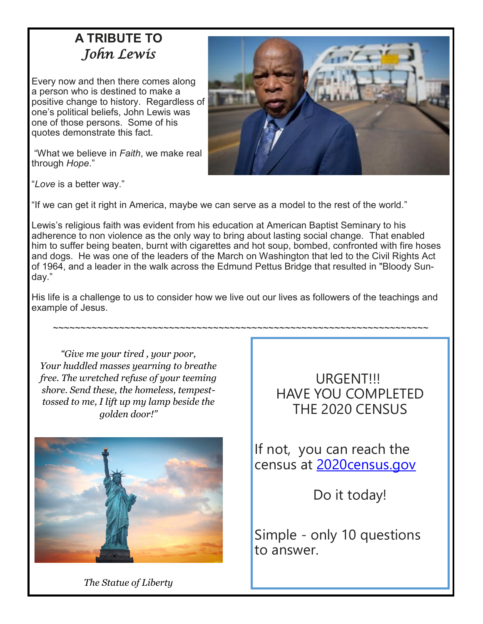# **A TRIBUTE TO**  *John Lewis*

Every now and then there comes along a person who is destined to make a positive change to history. Regardless of one's political beliefs, John Lewis was one of those persons. Some of his quotes demonstrate this fact.

"What we believe in *Faith*, we make real through *Hope*."



"*Love* is a better way."

"If we can get it right in America, maybe we can serve as a model to the rest of the world."

Lewis's religious faith was evident from his education at American Baptist Seminary to his adherence to non violence as the only way to bring about lasting social change. That enabled him to suffer being beaten, burnt with cigarettes and hot soup, bombed, confronted with fire hoses and dogs. He was one of the leaders of the March on Washington that led to the Civil Rights Act of 1964, and a leader in the walk across the Edmund Pettus Bridge that resulted in "Bloody Sunday."

His life is a challenge to us to consider how we live out our lives as followers of the teachings and example of Jesus.

~~~~~~~~~~~~~~~~~~~~~~~~~~~~~~~~~~~~~~~~~~~~~~~~~~~~~~~~~~~~~~~~~~~~

*"Give me your tired , your poor, Your huddled masses yearning to breathe free. The wretched refuse of your teeming shore. Send these, the homeless, tempesttossed to me, I lift up my lamp beside the golden door!"* 



URGENT!!! HAVE YOU COMPLETED THE 2020 CENSUS

If not, you can reach the census at [2020census.gov](https://nam03.safelinks.protection.outlook.com/?url=http%3A%2F%2F2020census.gov%2F&data=02%7C01%7C%7C64103af8f6394b53827008d833742200%7C84df9e7fe9f640afb435aaaaaaaaaaaa%7C1%7C0%7C637315921156150468&sdata=RCT62B9ndzsy2x6VtvGoPJOgTllaJ6E6pUv2dqahEXY%3D&reserved)

Do it today!

Simple - only 10 questions to answer.

*The Statue of Liberty*